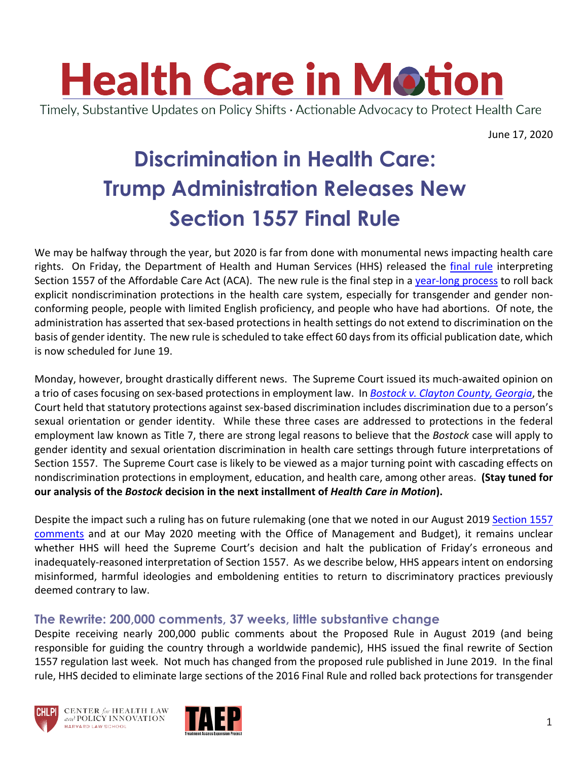

June 17, 2020

# **Discrimination in Health Care: Trump Administration Releases New Section 1557 Final Rule**

We may be halfway through the year, but 2020 is far from done with monumental news impacting health care rights. On Friday, the Department of Health and Human Services (HHS) released the final rule interpreting Section 1557 of the Affordable Care Act (ACA). The new rule is the final step in a year-long process to roll back explicit nondiscrimination protections in the health care system, especially for transgender and gender nonconforming people, people with limited English proficiency, and people who have had abortions. Of note, the administration has asserted that sex-based protections in health settings do not extend to discrimination on the basis of gender identity. The new rule is scheduled to take effect 60 days from its official publication date, which is now scheduled for June 19.

Monday, however, brought drastically different news. The Supreme Court issued its much-awaited opinion on a trio of cases focusing on sex-based protections in employment law. In *Bostock v. Clayton County, Georgia*, the Court held that statutory protections against sex-based discrimination includes discrimination due to a person's sexual orientation or gender identity. While these three cases are addressed to protections in the federal employment law known as Title 7, there are strong legal reasons to believe that the *Bostock* case will apply to gender identity and sexual orientation discrimination in health care settings through future interpretations of Section 1557. The Supreme Court case is likely to be viewed as a major turning point with cascading effects on nondiscrimination protections in employment, education, and health care, among other areas. **(Stay tuned for our analysis of the** *Bostock* **decision in the next installment of** *Health Care in Motion***).**

Despite the impact such a ruling has on future rulemaking (one that we noted in our August 2019 Section 1557 comments and at our May 2020 meeting with the Office of Management and Budget), it remains unclear whether HHS will heed the Supreme Court's decision and halt the publication of Friday's erroneous and inadequately-reasoned interpretation of Section 1557. As we describe below, HHS appears intent on endorsing misinformed, harmful ideologies and emboldening entities to return to discriminatory practices previously deemed contrary to law.

#### **The Rewrite: 200,000 comments, 37 weeks, little substantive change**

Despite receiving nearly 200,000 public comments about the Proposed Rule in August 2019 (and being responsible for guiding the country through a worldwide pandemic), HHS issued the final rewrite of Section 1557 regulation last week. Not much has changed from the proposed rule published in June 2019. In the final rule, HHS decided to eliminate large sections of the 2016 Final Rule and rolled back protections for transgender





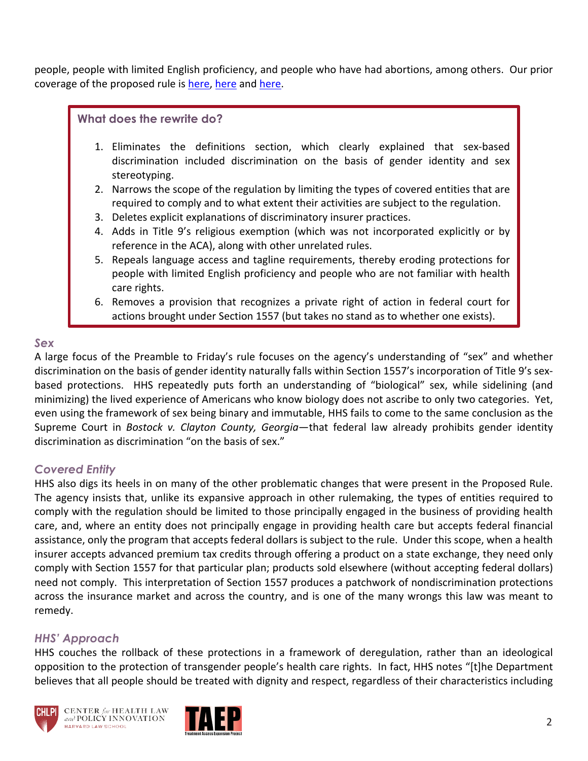people, people with limited English proficiency, and people who have had abortions, among others. Our prior coverage of the proposed rule is here, here and here.

#### **What does the rewrite do?**

- 1. Eliminates the definitions section, which clearly explained that sex-based discrimination included discrimination on the basis of gender identity and sex stereotyping.
- 2. Narrows the scope of the regulation by limiting the types of covered entities that are required to comply and to what extent their activities are subject to the regulation.
- 3. Deletes explicit explanations of discriminatory insurer practices.
- 4. Adds in Title 9's religious exemption (which was not incorporated explicitly or by reference in the ACA), along with other unrelated rules.
- 5. Repeals language access and tagline requirements, thereby eroding protections for people with limited English proficiency and people who are not familiar with health care rights.
- 6. Removes a provision that recognizes a private right of action in federal court for actions brought under Section 1557 (but takes no stand as to whether one exists).

#### *Sex*

A large focus of the Preamble to Friday's rule focuses on the agency's understanding of "sex" and whether discrimination on the basis of gender identity naturally falls within Section 1557's incorporation of Title 9's sexbased protections. HHS repeatedly puts forth an understanding of "biological" sex, while sidelining (and minimizing) the lived experience of Americans who know biology does not ascribe to only two categories. Yet, even using the framework of sex being binary and immutable, HHS fails to come to the same conclusion as the Supreme Court in *Bostock v. Clayton County, Georgia*—that federal law already prohibits gender identity discrimination as discrimination "on the basis of sex."

#### *Covered Entity*

HHS also digs its heels in on many of the other problematic changes that were present in the Proposed Rule. The agency insists that, unlike its expansive approach in other rulemaking, the types of entities required to comply with the regulation should be limited to those principally engaged in the business of providing health care, and, where an entity does not principally engage in providing health care but accepts federal financial assistance, only the program that accepts federal dollars is subject to the rule. Under this scope, when a health insurer accepts advanced premium tax credits through offering a product on a state exchange, they need only comply with Section 1557 for that particular plan; products sold elsewhere (without accepting federal dollars) need not comply. This interpretation of Section 1557 produces a patchwork of nondiscrimination protections across the insurance market and across the country, and is one of the many wrongs this law was meant to remedy.

## *HHS' Approach*

HHS couches the rollback of these protections in a framework of deregulation, rather than an ideological opposition to the protection of transgender people's health care rights. In fact, HHS notes "[t]he Department believes that all people should be treated with dignity and respect, regardless of their characteristics including



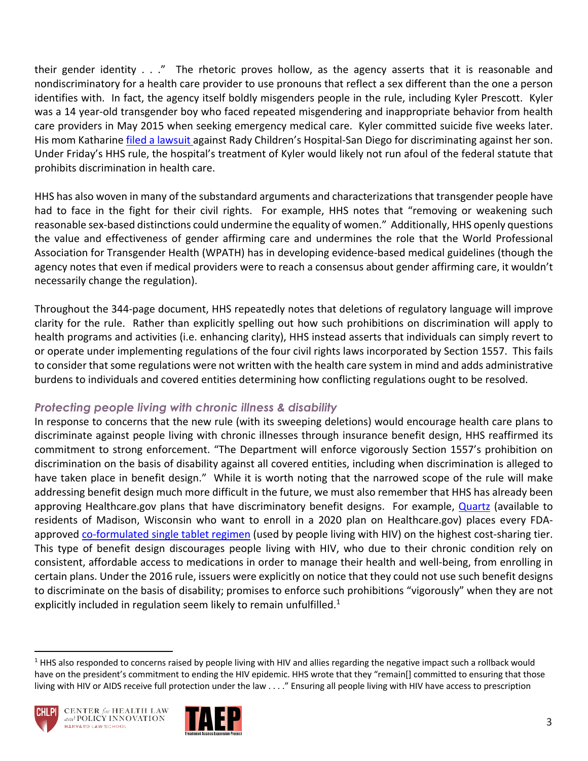their gender identity . . ." The rhetoric proves hollow, as the agency asserts that it is reasonable and nondiscriminatory for a health care provider to use pronouns that reflect a sex different than the one a person identifies with. In fact, the agency itself boldly misgenders people in the rule, including Kyler Prescott. Kyler was a 14 year-old transgender boy who faced repeated misgendering and inappropriate behavior from health care providers in May 2015 when seeking emergency medical care. Kyler committed suicide five weeks later. His mom Katharine filed a lawsuit against Rady Children's Hospital-San Diego for discriminating against her son. Under Friday's HHS rule, the hospital's treatment of Kyler would likely not run afoul of the federal statute that prohibits discrimination in health care.

HHS has also woven in many of the substandard arguments and characterizations that transgender people have had to face in the fight for their civil rights. For example, HHS notes that "removing or weakening such reasonable sex-based distinctions could undermine the equality of women." Additionally, HHS openly questions the value and effectiveness of gender affirming care and undermines the role that the World Professional Association for Transgender Health (WPATH) has in developing evidence-based medical guidelines (though the agency notes that even if medical providers were to reach a consensus about gender affirming care, it wouldn't necessarily change the regulation).

Throughout the 344-page document, HHS repeatedly notes that deletions of regulatory language will improve clarity for the rule. Rather than explicitly spelling out how such prohibitions on discrimination will apply to health programs and activities (i.e. enhancing clarity), HHS instead asserts that individuals can simply revert to or operate under implementing regulations of the four civil rights laws incorporated by Section 1557. This fails to consider that some regulations were not written with the health care system in mind and adds administrative burdens to individuals and covered entities determining how conflicting regulations ought to be resolved.

#### *Protecting people living with chronic illness & disability*

In response to concerns that the new rule (with its sweeping deletions) would encourage health care plans to discriminate against people living with chronic illnesses through insurance benefit design, HHS reaffirmed its commitment to strong enforcement. "The Department will enforce vigorously Section 1557's prohibition on discrimination on the basis of disability against all covered entities, including when discrimination is alleged to have taken place in benefit design." While it is worth noting that the narrowed scope of the rule will make addressing benefit design much more difficult in the future, we must also remember that HHS has already been approving Healthcare.gov plans that have discriminatory benefit designs. For example, Quartz (available to residents of Madison, Wisconsin who want to enroll in a 2020 plan on Healthcare.gov) places every FDAapproved co-formulated single tablet regimen (used by people living with HIV) on the highest cost-sharing tier. This type of benefit design discourages people living with HIV, who due to their chronic condition rely on consistent, affordable access to medications in order to manage their health and well-being, from enrolling in certain plans. Under the 2016 rule, issuers were explicitly on notice that they could not use such benefit designs to discriminate on the basis of disability; promises to enforce such prohibitions "vigorously" when they are not explicitly included in regulation seem likely to remain unfulfilled. $1$ 

 $<sup>1</sup>$  HHS also responded to concerns raised by people living with HIV and allies regarding the negative impact such a rollback would</sup> have on the president's commitment to ending the HIV epidemic. HHS wrote that they "remain[] committed to ensuring that those living with HIV or AIDS receive full protection under the law . . . ." Ensuring all people living with HIV have access to prescription



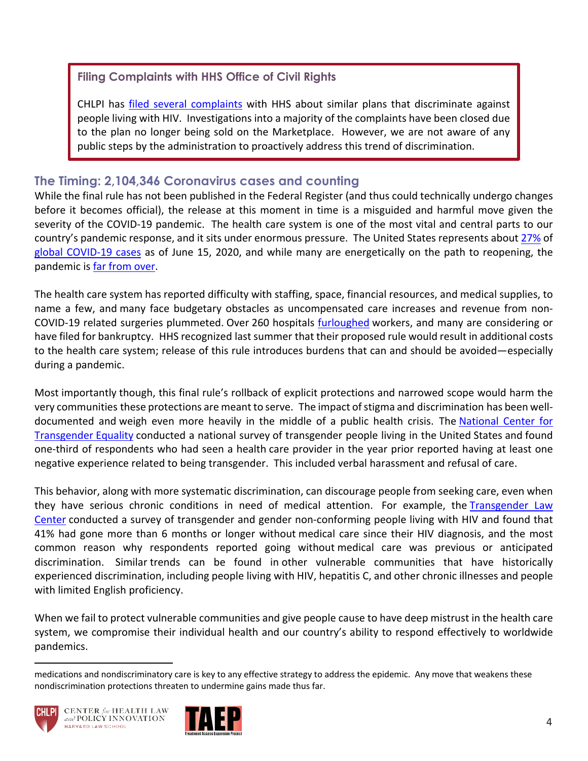### **Filing Complaints with HHS Office of Civil Rights**

CHLPI has filed several complaints with HHS about similar plans that discriminate against people living with HIV. Investigations into a majority of the complaints have been closed due to the plan no longer being sold on the Marketplace. However, we are not aware of any public steps by the administration to proactively address this trend of discrimination.

### **The Timing: 2,104,346 Coronavirus cases and counting**

While the final rule has not been published in the Federal Register (and thus could technically undergo changes before it becomes official), the release at this moment in time is a misguided and harmful move given the severity of the COVID-19 pandemic. The health care system is one of the most vital and central parts to our country's pandemic response, and it sits under enormous pressure. The United States represents about 27% of global COVID-19 cases as of June 15, 2020, and while many are energetically on the path to reopening, the pandemic is far from over.

The health care system has reported difficulty with staffing, space, financial resources, and medical supplies, to name a few, and many face budgetary obstacles as uncompensated care increases and revenue from non-COVID-19 related surgeries plummeted. Over 260 hospitals furloughed workers, and many are considering or have filed for bankruptcy. HHS recognized last summer that their proposed rule would result in additional costs to the health care system; release of this rule introduces burdens that can and should be avoided—especially during a pandemic.

Most importantly though, this final rule's rollback of explicit protections and narrowed scope would harm the very communities these protections are meant to serve. The impact of stigma and discrimination has been welldocumented and weigh even more heavily in the middle of a public health crisis. The National Center for Transgender Equality conducted a national survey of transgender people living in the United States and found one-third of respondents who had seen a health care provider in the year prior reported having at least one negative experience related to being transgender. This included verbal harassment and refusal of care.

This behavior, along with more systematic discrimination, can discourage people from seeking care, even when they have serious chronic conditions in need of medical attention. For example, the Transgender Law Center conducted a survey of transgender and gender non-conforming people living with HIV and found that 41% had gone more than 6 months or longer without medical care since their HIV diagnosis, and the most common reason why respondents reported going without medical care was previous or anticipated discrimination. Similar trends can be found in other vulnerable communities that have historically experienced discrimination, including people living with HIV, hepatitis C, and other chronic illnesses and people with limited English proficiency.

When we fail to protect vulnerable communities and give people cause to have deep mistrust in the health care system, we compromise their individual health and our country's ability to respond effectively to worldwide pandemics.

medications and nondiscriminatory care is key to any effective strategy to address the epidemic. Any move that weakens these nondiscrimination protections threaten to undermine gains made thus far.